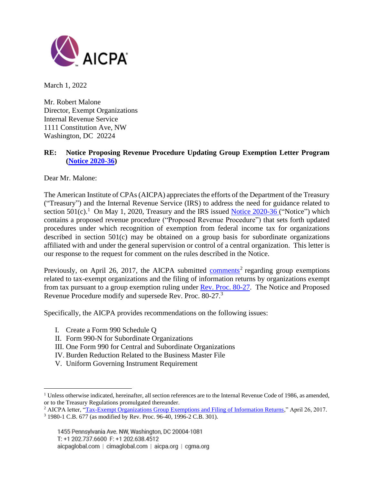

March 1, 2022

Mr. Robert Malone Director, Exempt Organizations Internal Revenue Service 1111 Constitution Ave, NW Washington, DC 20224

# **RE: Notice Proposing Revenue Procedure Updating Group Exemption Letter Program [\(Notice](https://www.federalregister.gov/documents/2020/04/24/2020-06604/unrelated-business-taxable-income-separately-computed-for-each-trade-or-business) [2020-](https://www.irs.gov/pub/irs-drop/n-20-36.pdf)36)**

Dear Mr. Malone:

The American Institute of CPAs (AICPA) appreciates the efforts of the Department of the Treasury ("Treasury") and the Internal Revenue Service (IRS) to address the need for guidance related to section  $501(c)$ .<sup>1</sup> On May 1, 2020, Treasury and the IRS issued [Notice](https://www.federalregister.gov/documents/2020/04/24/2020-06604/unrelated-business-taxable-income-separately-computed-for-each-trade-or-business)  $2020-36$  $2020-36$  ("Notice") which contains a proposed revenue procedure ("Proposed Revenue Procedure") that sets forth updated procedures under which recognition of exemption from federal income tax for organizations described in section 501(c) may be obtained on a group basis for subordinate organizations affiliated with and under the general supervision or control of a central organization. This letter is our response to the request for comment on the rules described in the Notice.

Previously, on April 26, 2017, the AICPA submitted [comments](https://us.aicpa.org/content/dam/aicpa/advocacy/tax/downloadabledocuments/aicpa-comment-letter-on-exempt-org-group-exemption-4-26-17.pdf)<sup>2</sup> regarding group exemptions related to tax-exempt organizations and the filing of information returns by organizations exempt from tax pursuant to a group exemption ruling under Rev. Proc. [80-27.](https://www.irs.gov/pub/irs-tege/rp1980-27.pdf) The Notice and Proposed Revenue Procedure modify and supersede Rev. Proc. 80-27.<sup>3</sup>

Specifically, the AICPA provides recommendations on the following issues:

- I. Create a Form 990 Schedule Q
- II. Form 990-N for Subordinate Organizations
- III. One Form 990 for Central and Subordinate Organizations
- IV. Burden Reduction Related to the Business Master File
- V. Uniform Governing Instrument Requirement

 $1$  Unless otherwise indicated, hereinafter, all section references are to the Internal Revenue Code of 1986, as amended, or to the Treasury Regulations promulgated thereunder.

<sup>&</sup>lt;sup>2</sup> AICPA letter, ["Tax-Exempt Organizations Group Exemptions and Filing of Information Returns,](https://www.aicpa.org/advocacy/tax/downloadabledocuments/aicpa-comment-letter-on-exempt-org-group-exemption-4-26-17.pdf)" April 26, 2017.

<sup>3</sup> 1980-1 C.B. 677 (as modified by Rev. Proc. 96-40, 1996-2 C.B. 301).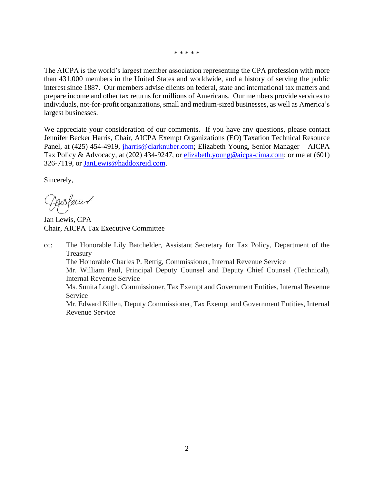\* \* \* \* \*

The AICPA is the world's largest member association representing the CPA profession with more than 431,000 members in the United States and worldwide, and a history of serving the public interest since 1887. Our members advise clients on federal, state and international tax matters and prepare income and other tax returns for millions of Americans. Our members provide services to individuals, not-for-profit organizations, small and medium-sized businesses, as well as America's largest businesses.

We appreciate your consideration of our comments. If you have any questions, please contact Jennifer Becker Harris, Chair, AICPA Exempt Organizations (EO) Taxation Technical Resource Panel, at (425) 454-4919, [jharris@clarknuber.com;](mailto:jharris@clarknuber.com) Elizabeth Young, Senior Manager – AICPA Tax Policy & Advocacy, at (202) 434-9247, or elizabeth.young@aicpa-cima.com; or me at (601) 326-7119, or [JanLewis@haddoxreid.com.](mailto:JanLewis@haddoxreid.com)

Sincerely,

Enofem

Jan Lewis, CPA Chair, AICPA Tax Executive Committee

cc: The Honorable Lily Batchelder, Assistant Secretary for Tax Policy, Department of the **Treasury** The Honorable Charles P. Rettig, Commissioner, Internal Revenue Service Mr. William Paul, Principal Deputy Counsel and Deputy Chief Counsel (Technical), Internal Revenue Service Ms. Sunita Lough, Commissioner, Tax Exempt and Government Entities, Internal Revenue Service Mr. Edward Killen, Deputy Commissioner, Tax Exempt and Government Entities, Internal Revenue Service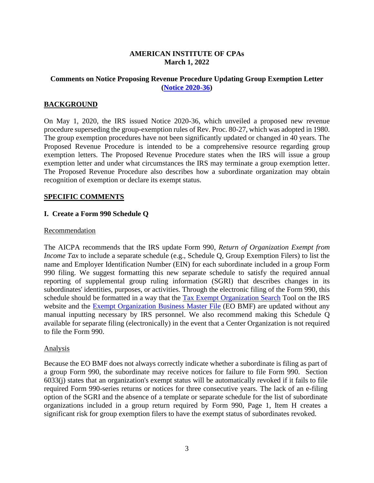#### **AMERICAN INSTITUTE OF CPAs March 1, 2022**

# **Comments on Notice Proposing Revenue Procedure Updating Group Exemption Letter [\(Notice](https://www.federalregister.gov/documents/2020/04/24/2020-06604/unrelated-business-taxable-income-separately-computed-for-each-trade-or-business) [2020-](https://www.irs.gov/pub/irs-drop/n-20-36.pdf)36)**

# **BACKGROUND**

On May 1, 2020, the IRS issued Notice 2020-36, which unveiled a proposed new revenue procedure superseding the group-exemption rules of Rev. Proc. 80-27, which was adopted in 1980. The group exemption procedures have not been significantly updated or changed in 40 years. The Proposed Revenue Procedure is intended to be a comprehensive resource regarding group exemption letters. The Proposed Revenue Procedure states when the IRS will issue a group exemption letter and under what circumstances the IRS may terminate a group exemption letter. The Proposed Revenue Procedure also describes how a subordinate organization may obtain recognition of exemption or declare its exempt status.

#### **SPECIFIC COMMENTS**

#### **I. Create a Form 990 Schedule Q**

#### Recommendation

The AICPA recommends that the IRS update Form 990, *Return of Organization Exempt from Income Tax* to include a separate schedule (e.g., Schedule Q, Group Exemption Filers) to list the name and Employer Identification Number (EIN) for each subordinate included in a group Form 990 filing. We suggest formatting this new separate schedule to satisfy the required annual reporting of supplemental group ruling information (SGRI) that describes changes in its subordinates' identities, purposes, or activities. Through the electronic filing of the Form 990, this schedule should be formatted in a way that the [Tax Exempt Organization](https://www.irs.gov/charities-non-profits/search-for-tax-exempt-organizations) Search Tool on the IRS website and the **Exempt Organization Business Master File** (EO BMF) are updated without any manual inputting necessary by IRS personnel. We also recommend making this Schedule Q available for separate filing (electronically) in the event that a Center Organization is not required to file the Form 990.

#### Analysis

Because the EO BMF does not always correctly indicate whether a subordinate is filing as part of a group Form 990, the subordinate may receive notices for failure to file Form 990. Section 6033(j) states that an organization's exempt status will be automatically revoked if it fails to file required Form 990-series returns or notices for three consecutive years. The lack of an e-filing option of the SGRI and the absence of a template or separate schedule for the list of subordinate organizations included in a group return required by Form 990, Page 1, Item H creates a significant risk for group exemption filers to have the exempt status of subordinates revoked.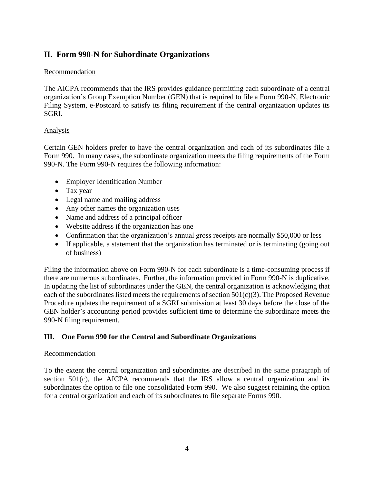# **II. Form 990-N for Subordinate Organizations**

## Recommendation

The AICPA recommends that the IRS provides guidance permitting each subordinate of a central organization's Group Exemption Number (GEN) that is required to file a Form 990-N, Electronic Filing System, e-Postcard to satisfy its filing requirement if the central organization updates its SGRI.

### Analysis

Certain GEN holders prefer to have the central organization and each of its subordinates file a Form 990. In many cases, the subordinate organization meets the filing requirements of the Form 990-N. The Form 990-N requires the following information:

- Employer Identification Number
- Tax year
- Legal name and mailing address
- Any other names the organization uses
- Name and address of a principal officer
- Website address if the organization has one
- Confirmation that the organization's annual gross receipts are normally \$50,000 or less
- If applicable, a statement that the organization has terminated or is terminating (going out of business)

Filing the information above on Form 990-N for each subordinate is a time-consuming process if there are numerous subordinates. Further, the information provided in Form 990-N is duplicative. In updating the list of subordinates under the GEN, the central organization is acknowledging that each of the subordinates listed meets the requirements of section 501(c)(3). The Proposed Revenue Procedure updates the requirement of a SGRI submission at least 30 days before the close of the GEN holder's accounting period provides sufficient time to determine the subordinate meets the 990-N filing requirement.

# **III. One Form 990 for the Central and Subordinate Organizations**

#### Recommendation

To the extent the central organization and subordinates are described in the same paragraph of section 501(c), the AICPA recommends that the IRS allow a central organization and its subordinates the option to file one consolidated Form 990. We also suggest retaining the option for a central organization and each of its subordinates to file separate Forms 990.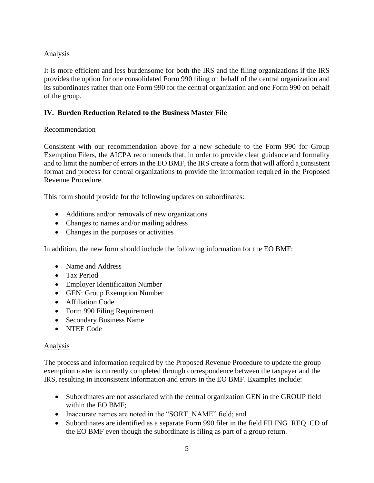# Analysis

It is more efficient and less burdensome for both the IRS and the filing organizations if the IRS provides the option for one consolidated Form 990 filing on behalf of the central organization and its subordinates rather than one Form 990 for the central organization and one Form 990 on behalf of the group.

# **IV. Burden Reduction Related to the Business Master File**

# Recommendation

Consistent with our recommendation above for a new schedule to the Form 990 for Group Exemption Filers, the AICPA recommends that, in order to provide clear guidance and formality and to limit the number of errors in the EO BMF, the IRS create a form that will afford a consistent format and process for central organizations to provide the information required in the Proposed Revenue Procedure.

This form should provide for the following updates on subordinates:

- Additions and/or removals of new organizations
- Changes to names and/or mailing address
- Changes in the purposes or activities

In addition, the new form should include the following information for the EO BMF:

- Name and Address
- Tax Period
- Employer Identificaiton Number
- GEN: Group Exemption Number
- Affiliation Code
- Form 990 Filing Requirement
- Secondary Business Name
- NTEE Code

# Analysis

The process and information required by the Proposed Revenue Procedure to update the group exemption roster is currently completed through correspondence between the taxpayer and the IRS, resulting in inconsistent information and errors in the EO BMF. Examples include:

- Subordinates are not associated with the central organization GEN in the GROUP field within the EO BMF;
- Inaccurate names are noted in the "SORT\_NAME" field; and
- Subordinates are identified as a separate Form 990 filer in the field FILING REQ CD of the EO BMF even though the subordinate is filing as part of a group return.